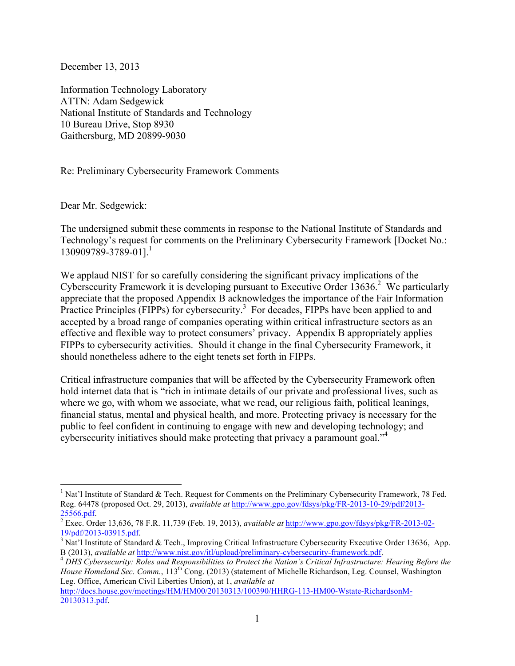December 13, 2013

Information Technology Laboratory ATTN: Adam Sedgewick National Institute of Standards and Technology 10 Bureau Drive, Stop 8930 Gaithersburg, MD 20899-9030

Re: Preliminary Cybersecurity Framework Comments

Dear Mr. Sedgewick:

 $\overline{a}$ 

 The undersigned submit these comments in response to the National Institute of Standards and 130909789-3789-01].<sup>1</sup> Technology's request for comments on the Preliminary Cybersecurity Framework [Docket No.:

Cybersecurity Framework it is developing pursuant to Executive Order  $13636$ <sup>2</sup> We particularly Practice Principles (FIPPs) for cybersecurity.<sup>3</sup> For decades, FIPPs have been applied to and accepted by a broad range of companies operating within critical infrastructure sectors as an We applaud NIST for so carefully considering the significant privacy implications of the appreciate that the proposed Appendix B acknowledges the importance of the Fair Information effective and flexible way to protect consumers' privacy. Appendix B appropriately applies FIPPs to cybersecurity activities. Should it change in the final Cybersecurity Framework, it should nonetheless adhere to the eight tenets set forth in FIPPs.

cybersecurity initiatives should make protecting that privacy a paramount goal."<sup>4</sup> Critical infrastructure companies that will be affected by the Cybersecurity Framework often hold internet data that is "rich in intimate details of our private and professional lives, such as where we go, with whom we associate, what we read, our religious faith, political leanings, financial status, mental and physical health, and more. Protecting privacy is necessary for the public to feel confident in continuing to engage with new and developing technology; and

http://docs.house.gov/meetings/HM/HM00/20130313/100390/HHRG-113-HM00-Wstate-RichardsonM-20130313.pdf.

 Reg. 64478 (proposed Oct. 29, 2013), *available at* http://www.gpo.gov/fdsys/pkg/FR-2013-10-29/pdf/2013- <sup>1</sup> Nat'l Institute of Standard & Tech. Request for Comments on the Preliminary Cybersecurity Framework, 78 Fed.

<sup>25566.</sup>pdf. 2 Exec. Order 13,636, 78 F.R. 11,739 (Feb. 19, 2013), *available at* http://www.gpo.gov/fdsys/pkg/FR-2013-02-

<sup>19/</sup>pdf/2013-03915.pdf.<br><sup>3</sup> Nat'l Institute of Standard & Tech., Improving Critical Infrastructure Cybersecurity Executive Order 13636, App. B (2013), available at <u>http://www.nist.gov/itl/upload/preliminary-cybersecurity-framework.pdf</u>.<br><sup>4</sup> DHS Cybersecurity: Roles and Responsibilities to Protect the Nation's Critical Infrastructure: Hearing Before the

House Homeland Sec. Comm., 113<sup>th</sup> Cong. (2013) (statement of Michelle Richardson, Leg. Counsel, Washington Leg. Office, American Civil Liberties Union), at 1, *available at*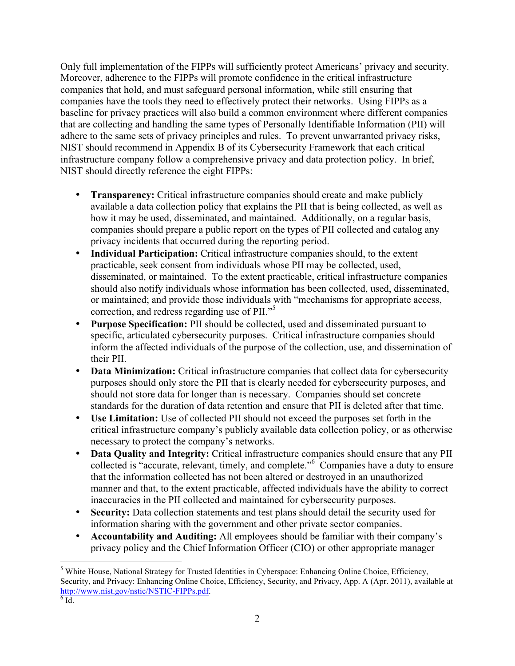Only full implementation of the FIPPs will sufficiently protect Americans' privacy and security. infrastructure company follow a comprehensive privacy and data protection policy. In brief, NIST should directly reference the eight FIPPs: Moreover, adherence to the FIPPs will promote confidence in the critical infrastructure companies that hold, and must safeguard personal information, while still ensuring that companies have the tools they need to effectively protect their networks. Using FIPPs as a baseline for privacy practices will also build a common environment where different companies that are collecting and handling the same types of Personally Identifiable Information (PII) will adhere to the same sets of privacy principles and rules. To prevent unwarranted privacy risks, NIST should recommend in Appendix B of its Cybersecurity Framework that each critical

- available a data collection policy that explains the PII that is being collected, as well as companies should prepare a public report on the types of PII collected and catalog any **Transparency:** Critical infrastructure companies should create and make publicly how it may be used, disseminated, and maintained. Additionally, on a regular basis, privacy incidents that occurred during the reporting period.
- practicable, seek consent from individuals whose PII may be collected, used, correction, and redress regarding use of PII."<sup>5</sup> • **Individual Participation:** Critical infrastructure companies should, to the extent disseminated, or maintained. To the extent practicable, critical infrastructure companies should also notify individuals whose information has been collected, used, disseminated, or maintained; and provide those individuals with "mechanisms for appropriate access,
- specific, articulated cybersecurity purposes. Critical infrastructure companies should • **Purpose Specification:** PII should be collected, used and disseminated pursuant to inform the affected individuals of the purpose of the collection, use, and dissemination of their PII.
- purposes should only store the PII that is clearly needed for cybersecurity purposes, and should not store data for longer than is necessary. Companies should set concrete • **Data Minimization:** Critical infrastructure companies that collect data for cybersecurity standards for the duration of data retention and ensure that PII is deleted after that time.
- • **Use Limitation:** Use of collected PII should not exceed the purposes set forth in the critical infrastructure company's publicly available data collection policy, or as otherwise necessary to protect the company's networks.
- collected is "accurate, relevant, timely, and complete."<sup>6</sup> Companies have a duty to ensure • Data Quality and Integrity: Critical infrastructure companies should ensure that any PII that the information collected has not been altered or destroyed in an unauthorized manner and that, to the extent practicable, affected individuals have the ability to correct inaccuracies in the PII collected and maintained for cybersecurity purposes.
- information sharing with the government and other private sector companies. • **Security:** Data collection statements and test plans should detail the security used for
- privacy policy and the Chief Information Officer (CIO) or other appropriate manager **Accountability and Auditing:** All employees should be familiar with their company's

 $\overline{a}$ 

 Security, and Privacy: Enhancing Online Choice, Efficiency, Security, and Privacy, App. A (Apr. 2011), available at 5 White House, National Strategy for Trusted Identities in Cyberspace: Enhancing Online Choice, Efficiency, http://www.nist.gov/nstic/NSTIC-FIPPs.pdf.

 $6\overline{\mathrm{Id}}$ .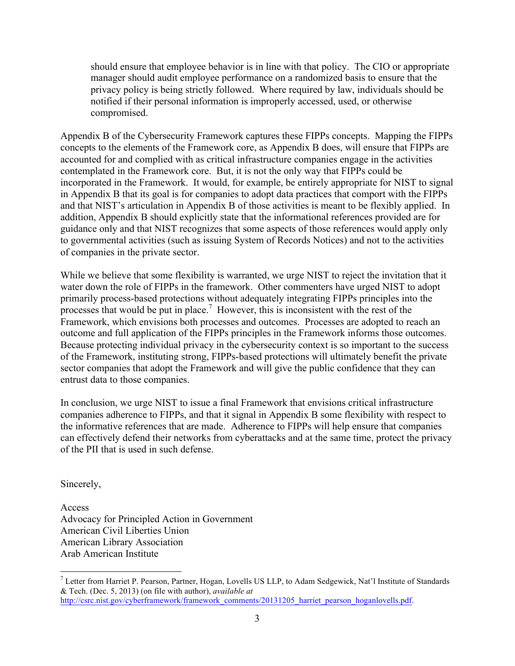should ensure that employee behavior is in line with that policy. The CIO or appropriate privacy policy is being strictly followed. Where required by law, individuals should be manager should audit employee performance on a randomized basis to ensure that the notified if their personal information is improperly accessed, used, or otherwise compromised.

 Appendix B of the Cybersecurity Framework captures these FIPPs concepts. Mapping the FIPPs contemplated in the Framework core. But, it is not the only way that FIPPs could be in Appendix B that its goal is for companies to adopt data practices that comport with the FIPPs and that NIST's articulation in Appendix B of those activities is meant to be flexibly applied. In guidance only and that NIST recognizes that some aspects of those references would apply only concepts to the elements of the Framework core, as Appendix B does, will ensure that FIPPs are accounted for and complied with as critical infrastructure companies engage in the activities incorporated in the Framework. It would, for example, be entirely appropriate for NIST to signal addition, Appendix B should explicitly state that the informational references provided are for to governmental activities (such as issuing System of Records Notices) and not to the activities of companies in the private sector.

processes that would be put in place.<sup>7</sup> However, this is inconsistent with the rest of the While we believe that some flexibility is warranted, we urge NIST to reject the invitation that it water down the role of FIPPs in the framework. Other commenters have urged NIST to adopt primarily process-based protections without adequately integrating FIPPs principles into the Framework, which envisions both processes and outcomes. Processes are adopted to reach an outcome and full application of the FIPPs principles in the Framework informs those outcomes. Because protecting individual privacy in the cybersecurity context is so important to the success of the Framework, instituting strong, FIPPs-based protections will ultimately benefit the private sector companies that adopt the Framework and will give the public confidence that they can entrust data to those companies.

 In conclusion, we urge NIST to issue a final Framework that envisions critical infrastructure the informative references that are made. Adherence to FIPPs will help ensure that companies of the PII that is used in such defense. Sincerely, companies adherence to FIPPs, and that it signal in Appendix B some flexibility with respect to can effectively defend their networks from cyberattacks and at the same time, protect the privacy

 $\overline{a}$ 

Access Advocacy for Principled Action in Government American Civil Liberties Union American Library Association Arab American Institute

 & Tech. (Dec. 5, 2013) (on file with author), *available at*   $<sup>7</sup>$  Letter from Harriet P. Pearson, Partner, Hogan, Lovells US LLP, to Adam Sedgewick, Nat'l Institute of Standards</sup> http://csrc.nist.gov/cyberframework/framework\_comments/20131205\_harriet\_pearson\_hoganlovells.pdf.